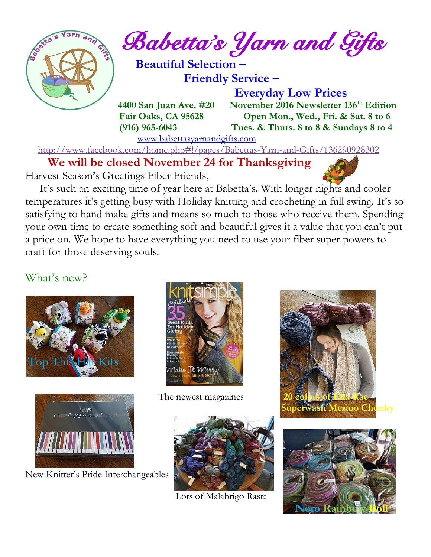

*Babetta's Yarn and Gifts* 

 **Beautiful Selection – Friendly Service –**

 **Everyday Low Prices 4400 San Juan Ave. #20 November 2016 Newsletter 136th Edition Fair Oaks, CA 95628 Open Mon., Wed., Fri. & Sat. 8 to 6 (916) 965-6043 Tues. & Thurs. 8 to 8 & Sundays 8 to 4** 

[www.babettasyarnandgifts.com](http://www.babettasyarnandgifts.com/)

<http://www.facebook.com/home.php#!/pages/Babettas-Yarn-and-Gifts/136290928302>

 **We will be closed November 24 for Thanksgiving**

Harvest Season's Greetings Fiber Friends,

 It's such an exciting time of year here at Babetta's. With longer nights and cooler temperatures it's getting busy with Holiday knitting and crocheting in full swing. It's so satisfying to hand make gifts and means so much to those who receive them. Spending your own time to create something soft and beautiful gives it a value that you can't put a price on. We hope to have everything you need to use your fiber super powers to craft for those deserving souls.

### What's new?





New Knitter's Pride Interchangeables



The newest magazines



Lots of Malabrigo Rasta



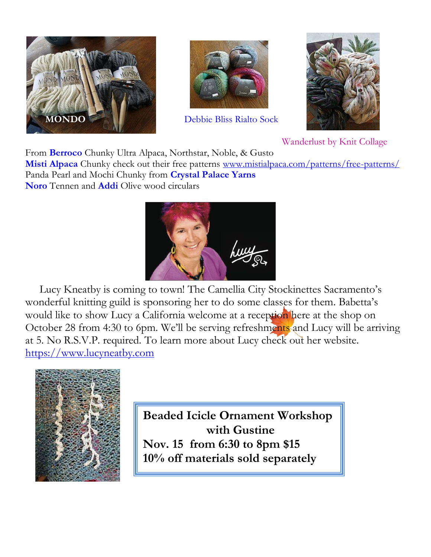



**Debbie Bliss Rialto Sock** 



Wanderlust by Knit Collage

From **Berroco** Chunky Ultra Alpaca, Northstar, Noble, & Gusto

**Misti Alpaca** Chunky check out their free patterns [www.mistialpaca.com/patterns/free-patterns/](http://www.mistialpaca.com/patterns/free-patterns/) Panda Pearl and Mochi Chunky from **Crystal Palace Yarns Noro** Tennen and **Addi** Olive wood circulars



 Lucy Kneatby is coming to town! The Camellia City Stockinettes Sacramento's wonderful knitting guild is sponsoring her to do some classes for them. Babetta's would like to show Lucy a California welcome at a reception here at the shop on October 28 from 4:30 to 6pm. We'll be serving refreshments and Lucy will be arriving at 5. No R.S.V.P. required. To learn more about Lucy check out her website. [https://www.lucyneatby.com](https://www.lucyneatby.com/)



**Beaded Icicle Ornament Workshop with Gustine Nov. 15 from 6:30 to 8pm \$15 10% off materials sold separately**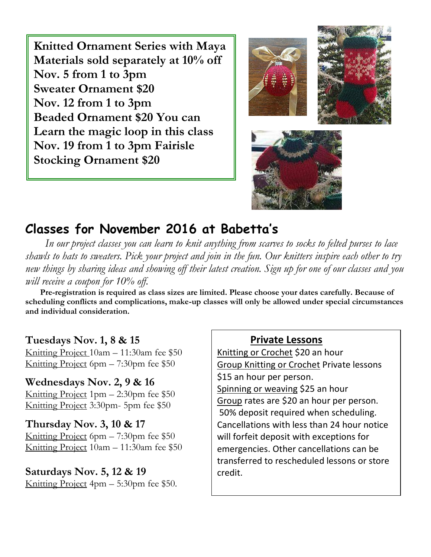**Knitted Ornament Series with Maya Materials sold separately at 10% off Nov. 5 from 1 to 3pm Sweater Ornament \$20 Nov. 12 from 1 to 3pm Beaded Ornament \$20 You can Learn the magic loop in this class Nov. 19 from 1 to 3pm Fairisle Stocking Ornament \$20**



# **Classes for November 2016 at Babetta's**

 *In our project classes you can learn to knit anything from scarves to socks to felted purses to lace shawls to hats to sweaters. Pick your project and join in the fun. Our knitters inspire each other to try new things by sharing ideas and showing off their latest creation. Sign up for one of our classes and you will receive a coupon for 10% off.*

 **Pre-registration is required as class sizes are limited. Please choose your dates carefully. Because of scheduling conflicts and complications, make-up classes will only be allowed under special circumstances and individual consideration.**

#### **Tuesdays Nov. 1, 8 & 15**

Knitting Project 10am – 11:30am fee \$50 Knitting Project 6pm – 7:30pm fee \$50

**Wednesdays Nov. 2, 9 & 16** Knitting Project 1pm – 2:30pm fee \$50 Knitting Project 3:30pm- 5pm fee \$50

#### **Thursday Nov. 3, 10 & 17**

Knitting Project 6pm – 7:30pm fee \$50 Knitting Project 10am – 11:30am fee \$50

#### **Saturdays Nov. 5, 12 & 19**

Knitting Project 4pm – 5:30pm fee \$50.

#### **Private Lessons**

Knitting or Crochet \$20 an hour Group Knitting or Crochet Private lessons \$15 an hour per person. Spinning or weaving \$25 an hour Group rates are \$20 an hour per person. 50% deposit required when scheduling. Cancellations with less than 24 hour notice will forfeit deposit with exceptions for emergencies. Other cancellations can be transferred to rescheduled lessons or store credit.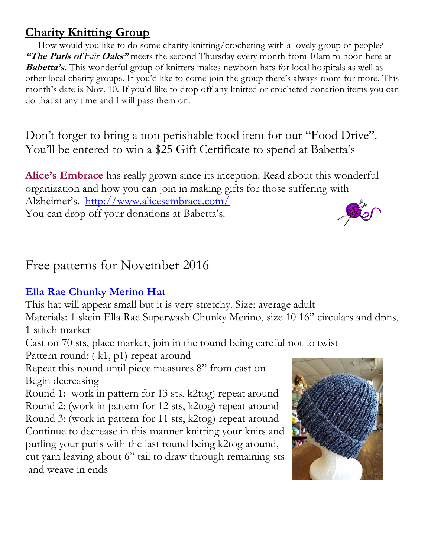## **Charity Knitting Group**

 How would you like to do some charity knitting/crocheting with a lovely group of people? **"The Purls of Fair Oaks"** meets the second Thursday every month from 10am to noon here at **Babetta's.** This wonderful group of knitters makes newborn hats for local hospitals as well as other local charity groups. If you'd like to come join the group there's always room for more. This month's date is Nov. 10. If you'd like to drop off any knitted or crocheted donation items you can do that at any time and I will pass them on.

Don't forget to bring a non perishable food item for our "Food Drive". You'll be entered to win a \$25 Gift Certificate to spend at Babetta's

**Alice's Embrace** has really grown since its inception. Read about this wonderful organization and how you can join in making gifts for those suffering with Alzheimer's. <http://www.alicesembrace.com/> You can drop off your donations at Babetta's.

## Free patterns for November 2016

### **Ella Rae Chunky Merino Hat**

This hat will appear small but it is very stretchy. Size: average adult

Materials: 1 skein Ella Rae Superwash Chunky Merino, size 10 16" circulars and dpns, 1 stitch marker

Cast on 70 sts, place marker, join in the round being careful not to twist

Pattern round: (k1, p1) repeat around

Repeat this round until piece measures 8" from cast on Begin decreasing

Round 1: work in pattern for 13 sts, k2tog) repeat around Round 2: (work in pattern for 12 sts, k2tog) repeat around Round 3: (work in pattern for 11 sts, k2tog) repeat around Continue to decrease in this manner knitting your knits and purling your purls with the last round being k2tog around, cut yarn leaving about 6" tail to draw through remaining sts and weave in ends